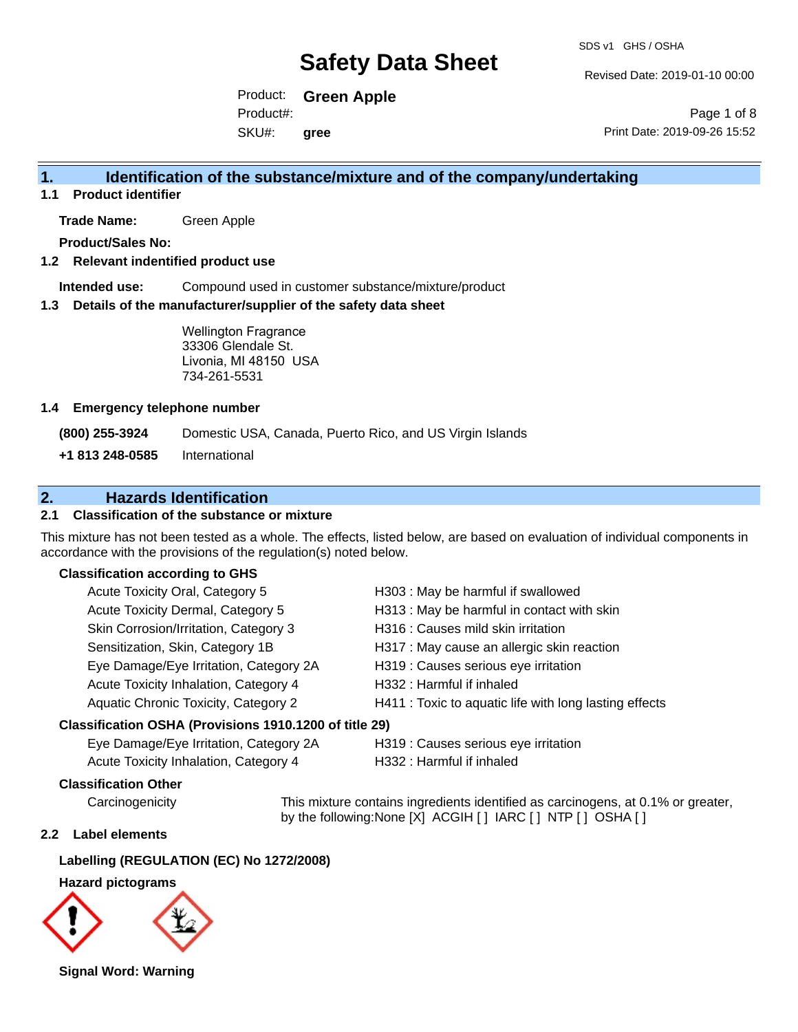Revised Date: 2019-01-10 00:00

Product: **Green Apple** SKU#: Product#: **gree**

Page 1 of 8 Print Date: 2019-09-26 15:52

# **1. Identification of the substance/mixture and of the company/undertaking**

**1.1 Product identifier**

**Trade Name:** Green Apple

**Product/Sales No:**

#### **1.2 Relevant indentified product use**

**Intended use:** Compound used in customer substance/mixture/product

#### **1.3 Details of the manufacturer/supplier of the safety data sheet**

Wellington Fragrance 33306 Glendale St. Livonia, MI 48150 USA 734-261-5531

#### **1.4 Emergency telephone number**

**(800) 255-3924** Domestic USA, Canada, Puerto Rico, and US Virgin Islands

**+1 813 248-0585** International

# **2. Hazards Identification**

## **2.1 Classification of the substance or mixture**

This mixture has not been tested as a whole. The effects, listed below, are based on evaluation of individual components in accordance with the provisions of the regulation(s) noted below.

### **Classification according to GHS**

| Acute Toxicity Oral, Category 5                     | H303: May be harmful if swallowed                      |
|-----------------------------------------------------|--------------------------------------------------------|
| Acute Toxicity Dermal, Category 5                   | H313 : May be harmful in contact with skin             |
| Skin Corrosion/Irritation, Category 3               | H316 : Causes mild skin irritation                     |
| Sensitization, Skin, Category 1B                    | H317 : May cause an allergic skin reaction             |
| Eye Damage/Eye Irritation, Category 2A              | H319 : Causes serious eye irritation                   |
| Acute Toxicity Inhalation, Category 4               | H332: Harmful if inhaled                               |
| Aquatic Chronic Toxicity, Category 2                | H411 : Toxic to aquatic life with long lasting effects |
| ssification OSHA (Provisions 1910.1200 of title 29) |                                                        |

#### **Classification OSHA (Provisions 1910.1200 of title 29)**

| Eye Damage/Eye Irritation, Category 2A |  |
|----------------------------------------|--|
| Acute Toxicity Inhalation, Category 4  |  |

H319 : Causes serious eye irritation

H332 : Harmful if inhaled

#### **Classification Other**

Carcinogenicity This mixture contains ingredients identified as carcinogens, at 0.1% or greater, by the following:None [X] ACGIH [ ] IARC [ ] NTP [ ] OSHA [ ]

## **2.2 Label elements**

### **Labelling (REGULATION (EC) No 1272/2008)**

#### **Hazard pictograms**



**Signal Word: Warning**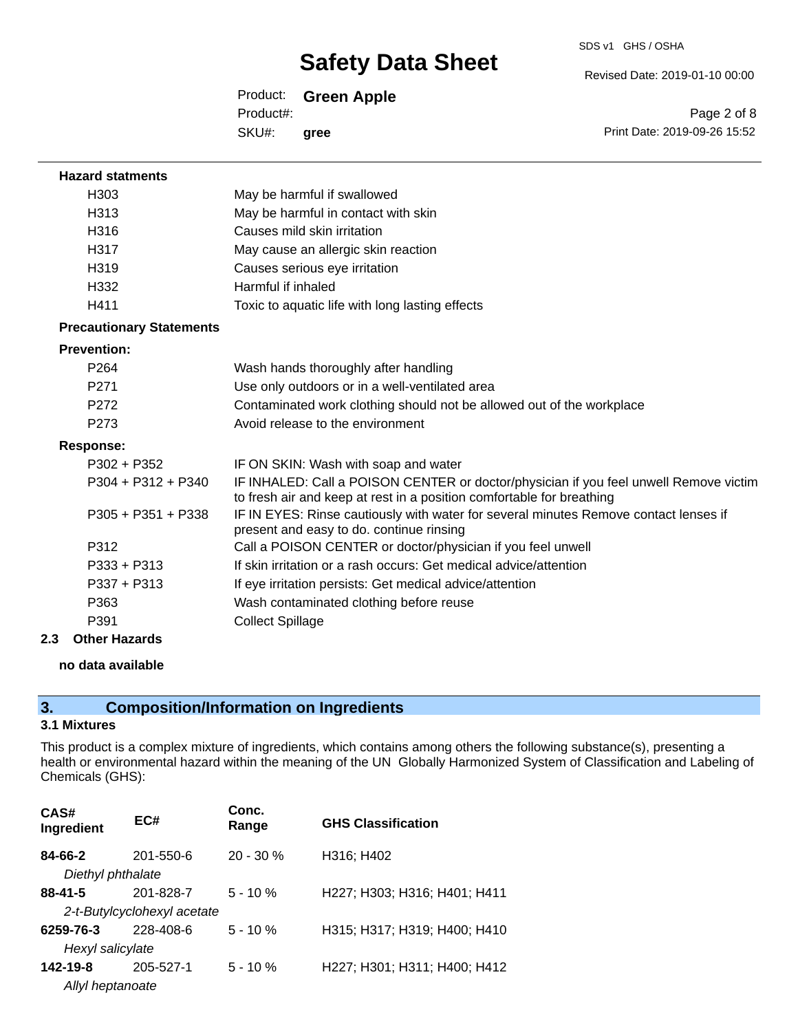Revised Date: 2019-01-10 00:00

Product: **Green Apple** SKU#: Product#: **gree**

Page 2 of 8 Print Date: 2019-09-26 15:52

| <b>Hazard statments</b>         |                                                                                                                                                                |
|---------------------------------|----------------------------------------------------------------------------------------------------------------------------------------------------------------|
| H <sub>303</sub>                | May be harmful if swallowed                                                                                                                                    |
| H313                            | May be harmful in contact with skin                                                                                                                            |
| H316                            | Causes mild skin irritation                                                                                                                                    |
| H317                            | May cause an allergic skin reaction                                                                                                                            |
| H319                            | Causes serious eye irritation                                                                                                                                  |
| H332                            | Harmful if inhaled                                                                                                                                             |
| H411                            | Toxic to aquatic life with long lasting effects                                                                                                                |
| <b>Precautionary Statements</b> |                                                                                                                                                                |
| <b>Prevention:</b>              |                                                                                                                                                                |
| P <sub>264</sub>                | Wash hands thoroughly after handling                                                                                                                           |
| P <sub>271</sub>                | Use only outdoors or in a well-ventilated area                                                                                                                 |
| P272                            | Contaminated work clothing should not be allowed out of the workplace                                                                                          |
| P <sub>273</sub>                | Avoid release to the environment                                                                                                                               |
| <b>Response:</b>                |                                                                                                                                                                |
| $P302 + P352$                   | IF ON SKIN: Wash with soap and water                                                                                                                           |
| $P304 + P312 + P340$            | IF INHALED: Call a POISON CENTER or doctor/physician if you feel unwell Remove victim<br>to fresh air and keep at rest in a position comfortable for breathing |
| $P305 + P351 + P338$            | IF IN EYES: Rinse cautiously with water for several minutes Remove contact lenses if<br>present and easy to do. continue rinsing                               |
| P312                            | Call a POISON CENTER or doctor/physician if you feel unwell                                                                                                    |
| $P333 + P313$                   | If skin irritation or a rash occurs: Get medical advice/attention                                                                                              |
| $P337 + P313$                   | If eye irritation persists: Get medical advice/attention                                                                                                       |
| P363                            | Wash contaminated clothing before reuse                                                                                                                        |
| P391                            | <b>Collect Spillage</b>                                                                                                                                        |

**2.3 Other Hazards**

#### **no data available**

# **3. Composition/Information on Ingredients**

## **3.1 Mixtures**

This product is a complex mixture of ingredients, which contains among others the following substance(s), presenting a health or environmental hazard within the meaning of the UN Globally Harmonized System of Classification and Labeling of Chemicals (GHS):

| CAS#<br>Ingredient | EC#                         | Conc.<br>Range | <b>GHS Classification</b>    |
|--------------------|-----------------------------|----------------|------------------------------|
| 84-66-2            | $201 - 550 - 6$             | $20 - 30 \%$   | H316; H402                   |
| Diethyl phthalate  |                             |                |                              |
| $88 - 41 - 5$      | 201-828-7                   | $5 - 10 \%$    | H227; H303; H316; H401; H411 |
|                    | 2-t-Butylcyclohexyl acetate |                |                              |
| 6259-76-3          | 228-408-6                   | $5 - 10 \%$    | H315; H317; H319; H400; H410 |
| Hexyl salicylate   |                             |                |                              |
| 142-19-8           | 205-527-1                   | $5 - 10%$      | H227; H301; H311; H400; H412 |
| Allyl heptanoate   |                             |                |                              |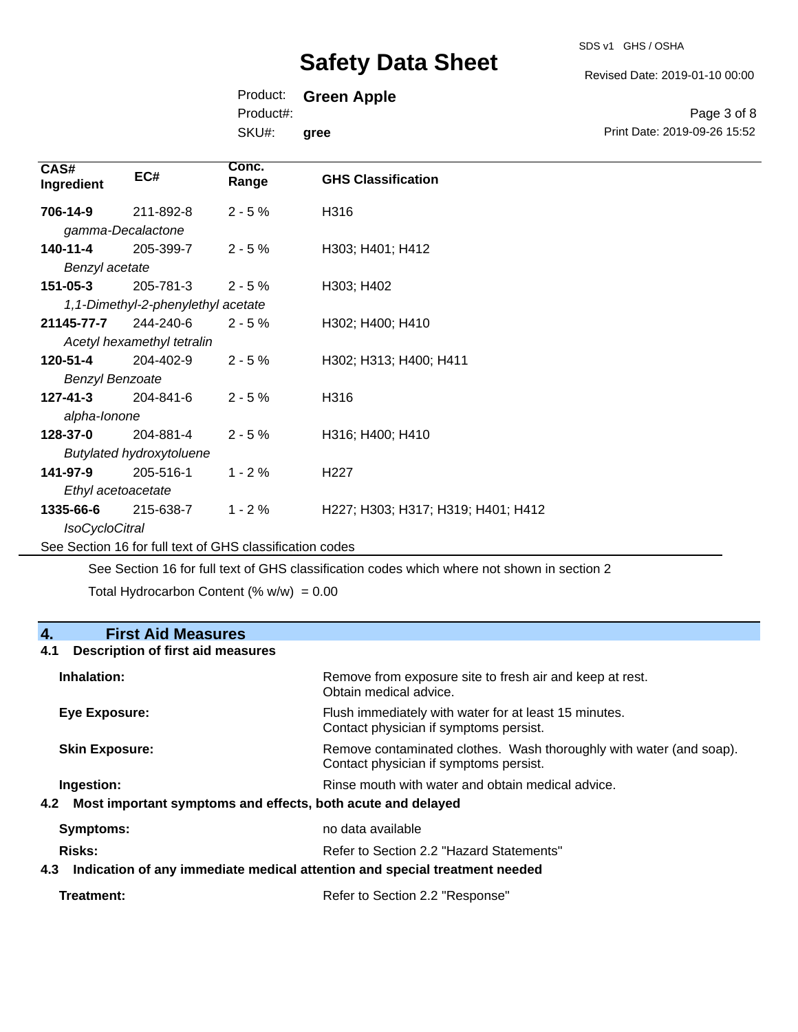SDS v1 GHS / OSHA

Revised Date: 2019-01-10 00:00

Print Date: 2019-09-26 15:52

Page 3 of 8

| Product: | <b>Green Apple</b> |  |
|----------|--------------------|--|
|----------|--------------------|--|

Product#:

SKU#: **gree**

| CAS#<br>Ingredient     | EC#                                | Conc.<br>Range | <b>GHS Classification</b>          |
|------------------------|------------------------------------|----------------|------------------------------------|
| 706-14-9               | 211-892-8                          | $2 - 5%$       | H316                               |
|                        | gamma-Decalactone                  |                |                                    |
| 140-11-4               | 205-399-7                          | $2 - 5%$       | H303; H401; H412                   |
| Benzyl acetate         |                                    |                |                                    |
| 151-05-3               | 205-781-3                          | $2 - 5%$       | H303; H402                         |
|                        | 1,1-Dimethyl-2-phenylethyl acetate |                |                                    |
| 21145-77-7             | 244-240-6                          | $2 - 5%$       | H302; H400; H410                   |
|                        | Acetyl hexamethyl tetralin         |                |                                    |
| 120-51-4               | 204-402-9                          | $2 - 5%$       | H302; H313; H400; H411             |
| <b>Benzyl Benzoate</b> |                                    |                |                                    |
| $127 - 41 - 3$         | 204-841-6                          | $2 - 5%$       | H316                               |
| alpha-lonone           |                                    |                |                                    |
| 128-37-0               | 204-881-4                          | $2 - 5%$       | H316; H400; H410                   |
|                        | <b>Butylated hydroxytoluene</b>    |                |                                    |
| 141-97-9               | 205-516-1                          | $1 - 2%$       | H <sub>227</sub>                   |
|                        | Ethyl acetoacetate                 |                |                                    |
| 1335-66-6              | 215-638-7                          | $1 - 2%$       | H227; H303; H317; H319; H401; H412 |
| <b>IsoCycloCitral</b>  |                                    |                |                                    |
|                        |                                    |                |                                    |

See Section 16 for full text of GHS classification codes

See Section 16 for full text of GHS classification codes which where not shown in section 2

Total Hydrocarbon Content (%  $w/w$ ) = 0.00

# **4. First Aid Measures**

### **4.1 Description of first aid measures**

| Inhalation:                                                     | Remove from exposure site to fresh air and keep at rest.<br>Obtain medical advice.                            |
|-----------------------------------------------------------------|---------------------------------------------------------------------------------------------------------------|
| Eye Exposure:                                                   | Flush immediately with water for at least 15 minutes.<br>Contact physician if symptoms persist.               |
| <b>Skin Exposure:</b>                                           | Remove contaminated clothes. Wash thoroughly with water (and soap).<br>Contact physician if symptoms persist. |
| Ingestion:                                                      | Rinse mouth with water and obtain medical advice.                                                             |
| 4.2 Most important symptoms and effects, both acute and delayed |                                                                                                               |
| Symptoms:                                                       | no data available                                                                                             |
| Risks:                                                          | Refer to Section 2.2 "Hazard Statements"                                                                      |
| 4.3                                                             | Indication of any immediate medical attention and special treatment needed                                    |

| Treatment: | Refer to Section 2.2 "Response" |
|------------|---------------------------------|
|------------|---------------------------------|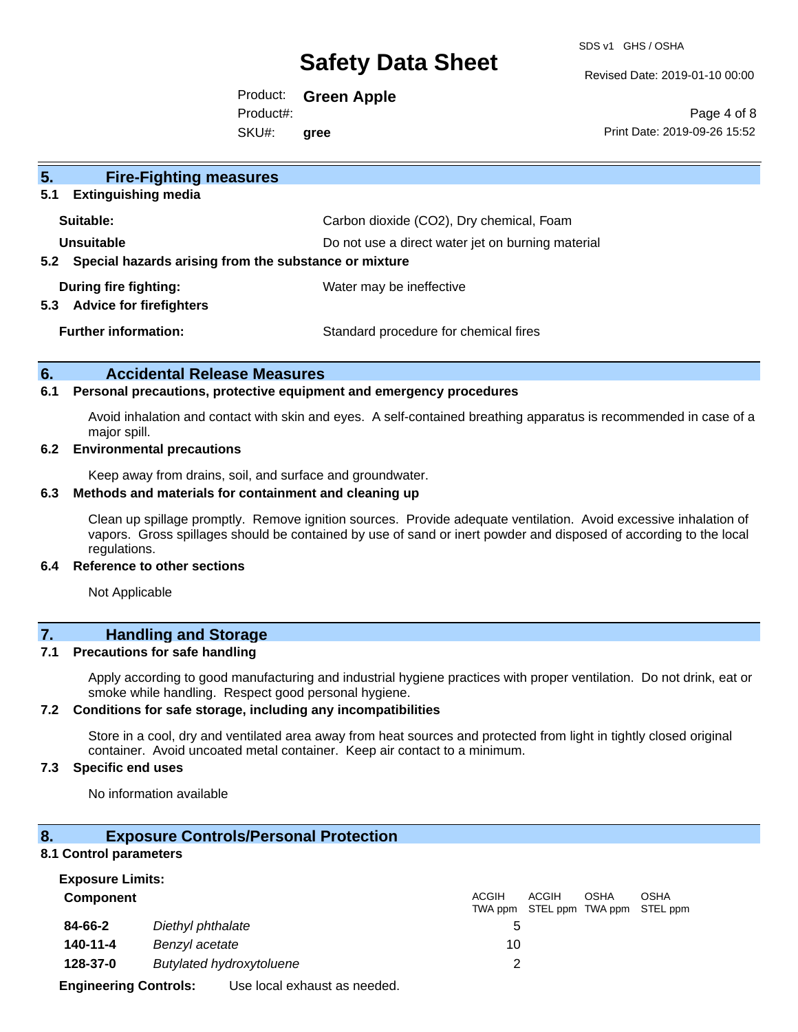SDS v1 GHS / OSHA

Revised Date: 2019-01-10 00:00

Product: **Green Apple** SKU#: Product#: **gree**

Page 4 of 8 Print Date: 2019-09-26 15:52

| 5 <sub>1</sub><br><b>Fire-Fighting measures</b>                |                                                   |
|----------------------------------------------------------------|---------------------------------------------------|
| <b>Extinguishing media</b><br>5.1                              |                                                   |
| Suitable:                                                      | Carbon dioxide (CO2), Dry chemical, Foam          |
| Unsuitable                                                     | Do not use a direct water jet on burning material |
| Special hazards arising from the substance or mixture<br>5.2   |                                                   |
| During fire fighting:<br><b>Advice for firefighters</b><br>5.3 | Water may be ineffective                          |
| <b>Further information:</b>                                    | Standard procedure for chemical fires             |

## **6. Accidental Release Measures**

#### **6.1 Personal precautions, protective equipment and emergency procedures**

Avoid inhalation and contact with skin and eyes. A self-contained breathing apparatus is recommended in case of a major spill.

#### **6.2 Environmental precautions**

Keep away from drains, soil, and surface and groundwater.

### **6.3 Methods and materials for containment and cleaning up**

Clean up spillage promptly. Remove ignition sources. Provide adequate ventilation. Avoid excessive inhalation of vapors. Gross spillages should be contained by use of sand or inert powder and disposed of according to the local regulations.

#### **6.4 Reference to other sections**

Not Applicable

# **7. Handling and Storage**

#### **7.1 Precautions for safe handling**

Apply according to good manufacturing and industrial hygiene practices with proper ventilation. Do not drink, eat or smoke while handling. Respect good personal hygiene.

## **7.2 Conditions for safe storage, including any incompatibilities**

Store in a cool, dry and ventilated area away from heat sources and protected from light in tightly closed original container. Avoid uncoated metal container. Keep air contact to a minimum.

## **7.3 Specific end uses**

No information available

### **8. Exposure Controls/Personal Protection**

#### **8.1 Control parameters**

| <b>Exposure Limits:</b>                     |                                            |                  |       |             |                                          |
|---------------------------------------------|--------------------------------------------|------------------|-------|-------------|------------------------------------------|
| Component                                   |                                            | ACGIH<br>TWA ppm | ACGIH | <b>OSHA</b> | <b>OSHA</b><br>STEL ppm TWA ppm STEL ppm |
| 84-66-2                                     | Diethyl phthalate                          |                  |       |             |                                          |
| 140-11-4                                    | Benzyl acetate                             | 10               |       |             |                                          |
| <b>Butylated hydroxytoluene</b><br>128-37-0 |                                            |                  |       |             |                                          |
| Exploration Controller                      | المسامس مستنقص والمستناد والمستمر المساليا |                  |       |             |                                          |

**Engineering Controls:** Use local exhaust as needed.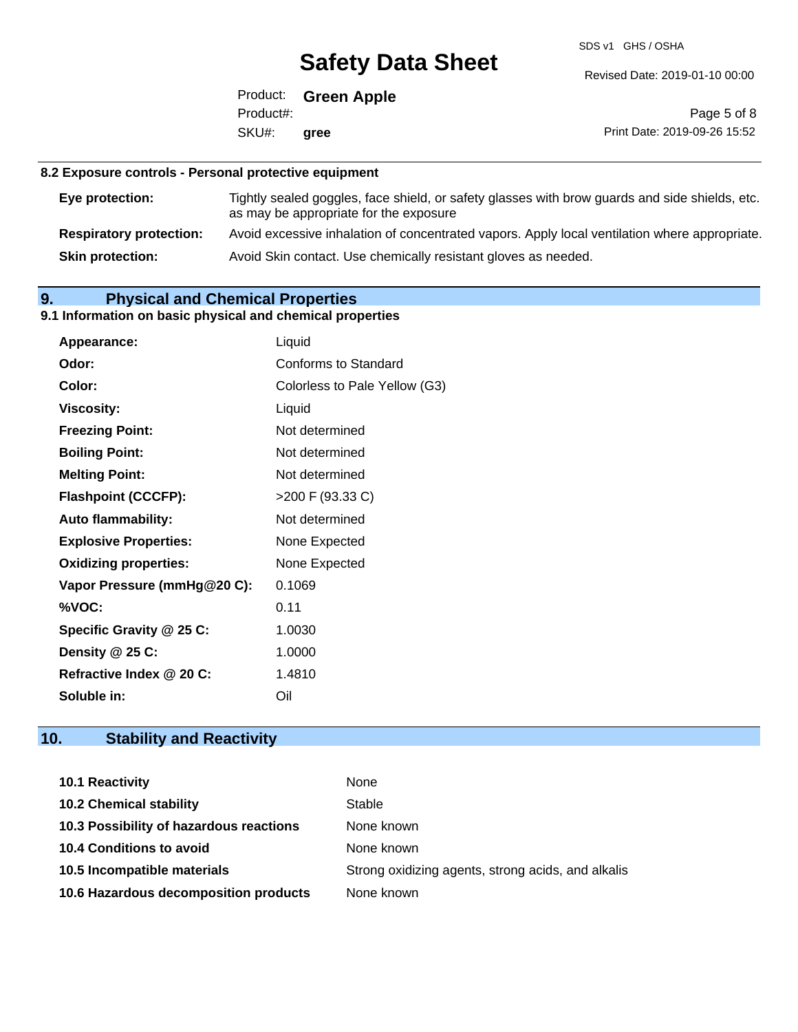SDS v1 GHS / OSHA

Revised Date: 2019-01-10 00:00

Product: **Green Apple** SKU#: Product#: **gree**

Page 5 of 8 Print Date: 2019-09-26 15:52

## **8.2 Exposure controls - Personal protective equipment**

| Eye protection:                | Tightly sealed goggles, face shield, or safety glasses with brow guards and side shields, etc.<br>as may be appropriate for the exposure |
|--------------------------------|------------------------------------------------------------------------------------------------------------------------------------------|
| <b>Respiratory protection:</b> | Avoid excessive inhalation of concentrated vapors. Apply local ventilation where appropriate.                                            |
| <b>Skin protection:</b>        | Avoid Skin contact. Use chemically resistant gloves as needed.                                                                           |

# **9. Physical and Chemical Properties**

# **9.1 Information on basic physical and chemical properties**

| Appearance:                  | Liquid                        |
|------------------------------|-------------------------------|
| Odor:                        | <b>Conforms to Standard</b>   |
| Color:                       | Colorless to Pale Yellow (G3) |
| <b>Viscosity:</b>            | Liquid                        |
| <b>Freezing Point:</b>       | Not determined                |
| <b>Boiling Point:</b>        | Not determined                |
| <b>Melting Point:</b>        | Not determined                |
| <b>Flashpoint (CCCFP):</b>   | >200 F (93.33 C)              |
| Auto flammability:           | Not determined                |
| <b>Explosive Properties:</b> | None Expected                 |
| <b>Oxidizing properties:</b> | None Expected                 |
| Vapor Pressure (mmHg@20 C):  | 0.1069                        |
| %VOC:                        | 0.11                          |
| Specific Gravity @ 25 C:     | 1.0030                        |
| Density @ 25 C:              | 1.0000                        |
| Refractive Index @ 20 C:     | 1.4810                        |
| Soluble in:                  | Oil                           |

# **10. Stability and Reactivity**

| 10.1 Reactivity                         | None                                               |
|-----------------------------------------|----------------------------------------------------|
| <b>10.2 Chemical stability</b>          | Stable                                             |
| 10.3 Possibility of hazardous reactions | None known                                         |
| <b>10.4 Conditions to avoid</b>         | None known                                         |
| 10.5 Incompatible materials             | Strong oxidizing agents, strong acids, and alkalis |
| 10.6 Hazardous decomposition products   | None known                                         |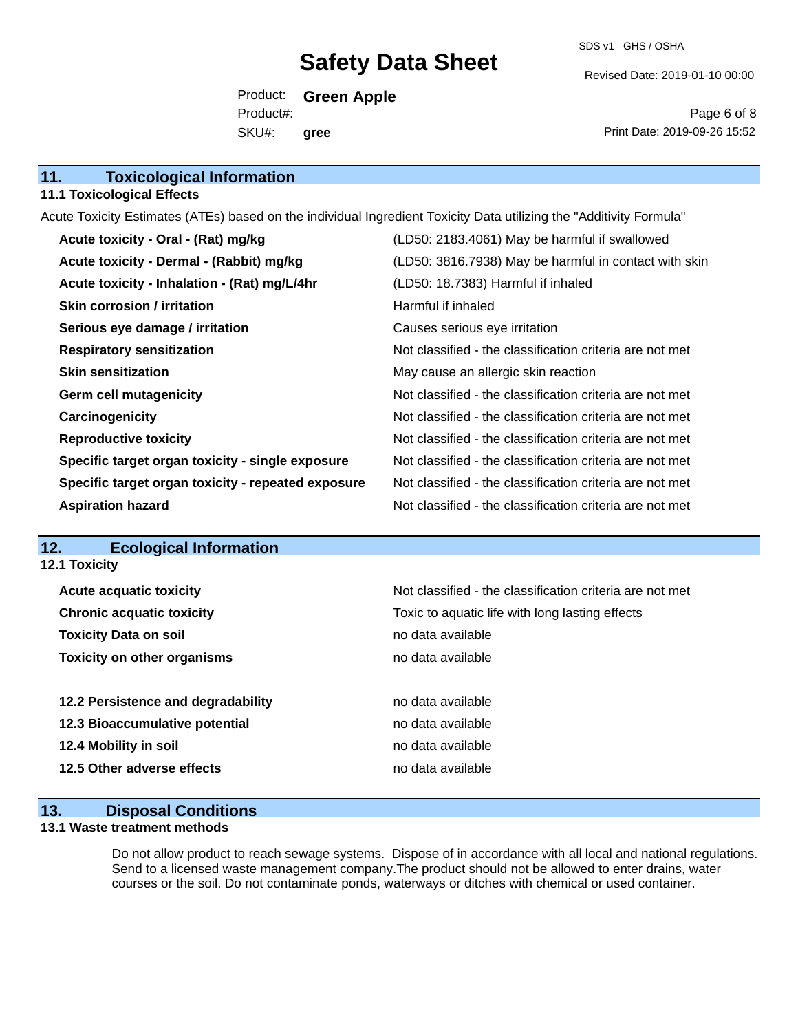SDS v1 GHS / OSHA

Revised Date: 2019-01-10 00:00

Product: **Green Apple** SKU#: Product#: **gree**

Page 6 of 8 Print Date: 2019-09-26 15:52

| 11.<br><b>Toxicological Information</b> |  |
|-----------------------------------------|--|
|-----------------------------------------|--|

#### **11.1 Toxicological Effects**

Acute Toxicity Estimates (ATEs) based on the individual Ingredient Toxicity Data utilizing the "Additivity Formula"

| Acute toxicity - Oral - (Rat) mg/kg                | (LD50: 2183.4061) May be harmful if swallowed            |
|----------------------------------------------------|----------------------------------------------------------|
| Acute toxicity - Dermal - (Rabbit) mg/kg           | (LD50: 3816.7938) May be harmful in contact with skin    |
| Acute toxicity - Inhalation - (Rat) mg/L/4hr       | (LD50: 18.7383) Harmful if inhaled                       |
| <b>Skin corrosion / irritation</b>                 | Harmful if inhaled                                       |
| Serious eye damage / irritation                    | Causes serious eye irritation                            |
| <b>Respiratory sensitization</b>                   | Not classified - the classification criteria are not met |
| <b>Skin sensitization</b>                          | May cause an allergic skin reaction                      |
| <b>Germ cell mutagenicity</b>                      | Not classified - the classification criteria are not met |
| Carcinogenicity                                    | Not classified - the classification criteria are not met |
| <b>Reproductive toxicity</b>                       | Not classified - the classification criteria are not met |
| Specific target organ toxicity - single exposure   | Not classified - the classification criteria are not met |
| Specific target organ toxicity - repeated exposure | Not classified - the classification criteria are not met |
| <b>Aspiration hazard</b>                           | Not classified - the classification criteria are not met |

# **12. Ecological Information**

| Not classified - the classification criteria are not met |
|----------------------------------------------------------|
| Toxic to aquatic life with long lasting effects          |
| no data available                                        |
| no data available                                        |
| no data available                                        |
| no data available                                        |
| no data available                                        |
| no data available                                        |
|                                                          |

## **13. Disposal Conditions**

### **13.1 Waste treatment methods**

Do not allow product to reach sewage systems. Dispose of in accordance with all local and national regulations. Send to a licensed waste management company.The product should not be allowed to enter drains, water courses or the soil. Do not contaminate ponds, waterways or ditches with chemical or used container.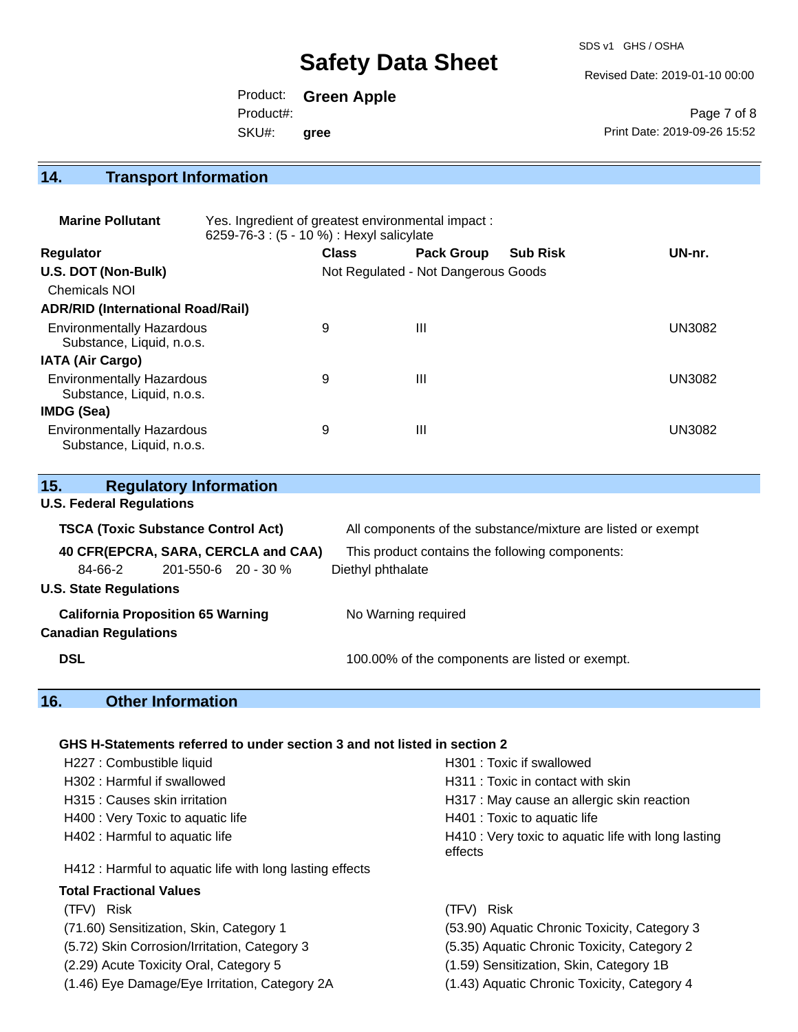SDS v1 GHS / OSHA

Revised Date: 2019-01-10 00:00

Product: **Green Apple** SKU#: Product#: **gree**

Page 7 of 8 Print Date: 2019-09-26 15:52

# **14. Transport Information**

| <b>Marine Pollutant</b>                                       | Yes. Ingredient of greatest environmental impact:<br>6259-76-3 : (5 - 10 %) : Hexyl salicylate |              |                                     |                 |               |
|---------------------------------------------------------------|------------------------------------------------------------------------------------------------|--------------|-------------------------------------|-----------------|---------------|
| Regulator                                                     |                                                                                                | <b>Class</b> | <b>Pack Group</b>                   | <b>Sub Risk</b> | UN-nr.        |
| U.S. DOT (Non-Bulk)                                           |                                                                                                |              | Not Regulated - Not Dangerous Goods |                 |               |
| <b>Chemicals NOI</b>                                          |                                                                                                |              |                                     |                 |               |
| <b>ADR/RID (International Road/Rail)</b>                      |                                                                                                |              |                                     |                 |               |
| <b>Environmentally Hazardous</b><br>Substance, Liquid, n.o.s. |                                                                                                | 9            | $\mathbf{III}$                      |                 | <b>UN3082</b> |
| <b>IATA (Air Cargo)</b>                                       |                                                                                                |              |                                     |                 |               |
| <b>Environmentally Hazardous</b><br>Substance, Liquid, n.o.s. |                                                                                                | 9            | $\mathbf{III}$                      |                 | <b>UN3082</b> |
| IMDG (Sea)                                                    |                                                                                                |              |                                     |                 |               |
| <b>Environmentally Hazardous</b><br>Substance, Liquid, n.o.s. |                                                                                                | 9            | Ш                                   |                 | <b>UN3082</b> |

| 15.                           |                                 | <b>Regulatory Information</b>             |                                     |                                                              |
|-------------------------------|---------------------------------|-------------------------------------------|-------------------------------------|--------------------------------------------------------------|
|                               | <b>U.S. Federal Regulations</b> |                                           |                                     |                                                              |
|                               |                                 | <b>TSCA (Toxic Substance Control Act)</b> |                                     | All components of the substance/mixture are listed or exempt |
|                               |                                 |                                           | 40 CFR(EPCRA, SARA, CERCLA and CAA) | This product contains the following components:              |
|                               | 84-66-2                         | $201 - 550 - 6$ 20 - 30 %                 |                                     | Diethyl phthalate                                            |
| <b>U.S. State Regulations</b> |                                 |                                           |                                     |                                                              |
|                               | <b>Canadian Regulations</b>     | <b>California Proposition 65 Warning</b>  |                                     | No Warning required                                          |
| <b>DSL</b>                    |                                 |                                           |                                     | 100.00% of the components are listed or exempt.              |

# **16. Other Information**

### **GHS H-Statements referred to under section 3 and not listed in section 2**

| H227 : Combustible liquid                                | H301 : Toxic if swallowed                                      |
|----------------------------------------------------------|----------------------------------------------------------------|
| H302 : Harmful if swallowed                              | H311 : Toxic in contact with skin                              |
| H315 : Causes skin irritation                            | H317 : May cause an allergic skin reaction                     |
| H400 : Very Toxic to aquatic life                        | H401 : Toxic to aquatic life                                   |
| H402 : Harmful to aquatic life                           | H410 : Very toxic to aquatic life with long lasting<br>effects |
| H412 : Harmful to aquatic life with long lasting effects |                                                                |
| Total Fractional Values                                  |                                                                |
| (TFV) Risk                                               | <b>Risk</b><br>(TFV)                                           |
| (71.60) Sensitization, Skin, Category 1                  | (53.90) Aquatic Chronic Toxicity, Category 3                   |
| (5.72) Skin Corrosion/Irritation, Category 3             | (5.35) Aquatic Chronic Toxicity, Category 2                    |
| (2.29) Acute Toxicity Oral, Category 5                   | (1.59) Sensitization, Skin, Category 1B                        |
| (1.46) Eye Damage/Eye Irritation, Category 2A            | (1.43) Aquatic Chronic Toxicity, Category 4                    |